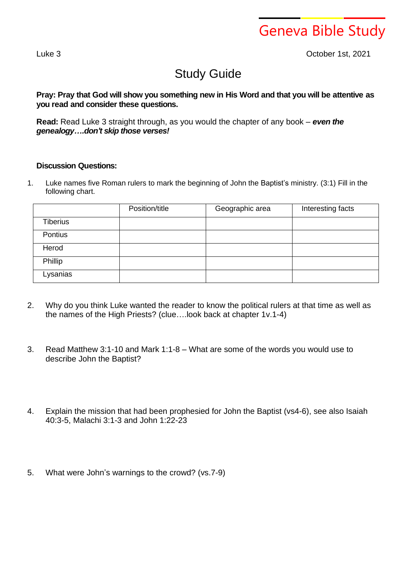Geneva Bible Study

Luke 3 October 1st, 2021

## Study Guide

Pray: Pray that God will show you something new in His Word and that you will be attentive as **you read and consider these questions.**

**Read:** Read Luke 3 straight through, as you would the chapter of any book – *even the genealogy….don't skip those verses!*

## **Discussion Questions:**

1. Luke names five Roman rulers to mark the beginning of John the Baptist's ministry. (3:1) Fill in the following chart.

|                 | Position/title | Geographic area | Interesting facts |
|-----------------|----------------|-----------------|-------------------|
| <b>Tiberius</b> |                |                 |                   |
| Pontius         |                |                 |                   |
| Herod           |                |                 |                   |
| Phillip         |                |                 |                   |
| Lysanias        |                |                 |                   |

- 2. Why do you think Luke wanted the reader to know the political rulers at that time as well as the names of the High Priests? (clue….look back at chapter 1v.1-4)
- 3. Read Matthew 3:1-10 and Mark 1:1-8 What are some of the words you would use to describe John the Baptist?
- 4. Explain the mission that had been prophesied for John the Baptist (vs4-6), see also Isaiah 40:3-5, Malachi 3:1-3 and John 1:22-23
- 5. What were John's warnings to the crowd? (vs.7-9)